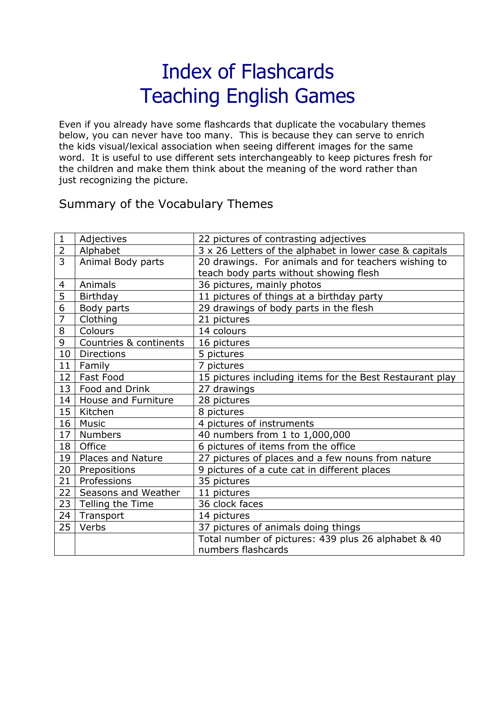## Index of Flashcards Teaching English Games

Even if you already have some flashcards that duplicate the vocabulary themes below, you can never have too many. This is because they can serve to enrich the kids visual/lexical association when seeing different images for the same word. It is useful to use different sets interchangeably to keep pictures fresh for the children and make them think about the meaning of the word rather than just recognizing the picture.

## Summary of the Vocabulary Themes

| $\mathbf{1}$   | Adjectives             | 22 pictures of contrasting adjectives                    |
|----------------|------------------------|----------------------------------------------------------|
| $\overline{2}$ | Alphabet               | 3 x 26 Letters of the alphabet in lower case & capitals  |
| $\overline{3}$ | Animal Body parts      | 20 drawings. For animals and for teachers wishing to     |
|                |                        | teach body parts without showing flesh                   |
| $\overline{4}$ | Animals                | 36 pictures, mainly photos                               |
| 5              | Birthday               | 11 pictures of things at a birthday party                |
| 6              | Body parts             | 29 drawings of body parts in the flesh                   |
| $\overline{7}$ | Clothing               | 21 pictures                                              |
| 8              | Colours                | 14 colours                                               |
| 9              | Countries & continents | 16 pictures                                              |
| 10             | <b>Directions</b>      | 5 pictures                                               |
| 11             | Family                 | 7 pictures                                               |
| 12             | Fast Food              | 15 pictures including items for the Best Restaurant play |
| 13             | Food and Drink         | 27 drawings                                              |
| 14             | House and Furniture    | 28 pictures                                              |
| 15             | Kitchen                | 8 pictures                                               |
| 16             | <b>Music</b>           | 4 pictures of instruments                                |
| 17             | <b>Numbers</b>         | 40 numbers from 1 to 1,000,000                           |
| 18             | Office                 | 6 pictures of items from the office                      |
| 19             | Places and Nature      | 27 pictures of places and a few nouns from nature        |
| 20             | Prepositions           | 9 pictures of a cute cat in different places             |
| 21             | Professions            | 35 pictures                                              |
| 22             | Seasons and Weather    | 11 pictures                                              |
| 23             | Telling the Time       | 36 clock faces                                           |
| 24             | Transport              | 14 pictures                                              |
| 25             | Verbs                  | 37 pictures of animals doing things                      |
|                |                        | Total number of pictures: 439 plus 26 alphabet & 40      |
|                |                        | numbers flashcards                                       |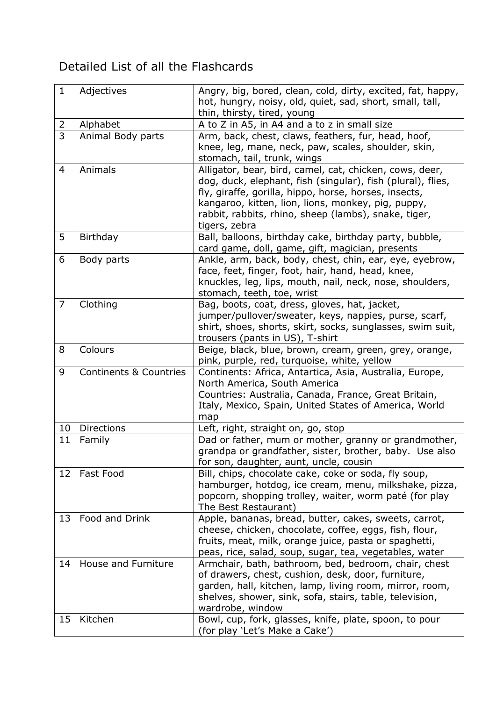## Detailed List of all the Flashcards

| $\mathbf{1}$   | Adjectives                        | Angry, big, bored, clean, cold, dirty, excited, fat, happy,                                                     |
|----------------|-----------------------------------|-----------------------------------------------------------------------------------------------------------------|
|                |                                   | hot, hungry, noisy, old, quiet, sad, short, small, tall,                                                        |
|                |                                   | thin, thirsty, tired, young                                                                                     |
| $\overline{2}$ | Alphabet                          | A to Z in A5, in A4 and a to z in small size                                                                    |
| 3              | Animal Body parts                 | Arm, back, chest, claws, feathers, fur, head, hoof,                                                             |
|                |                                   | knee, leg, mane, neck, paw, scales, shoulder, skin,                                                             |
|                |                                   | stomach, tail, trunk, wings                                                                                     |
| $\overline{4}$ | Animals                           | Alligator, bear, bird, camel, cat, chicken, cows, deer,                                                         |
|                |                                   | dog, duck, elephant, fish (singular), fish (plural), flies,                                                     |
|                |                                   | fly, giraffe, gorilla, hippo, horse, horses, insects,                                                           |
|                |                                   | kangaroo, kitten, lion, lions, monkey, pig, puppy,                                                              |
|                |                                   | rabbit, rabbits, rhino, sheep (lambs), snake, tiger,                                                            |
|                |                                   | tigers, zebra                                                                                                   |
| 5              | Birthday                          | Ball, balloons, birthday cake, birthday party, bubble,                                                          |
|                |                                   | card game, doll, game, gift, magician, presents                                                                 |
| 6              | Body parts                        | Ankle, arm, back, body, chest, chin, ear, eye, eyebrow,                                                         |
|                |                                   | face, feet, finger, foot, hair, hand, head, knee,                                                               |
|                |                                   | knuckles, leg, lips, mouth, nail, neck, nose, shoulders,                                                        |
| $\overline{7}$ | Clothing                          | stomach, teeth, toe, wrist<br>Bag, boots, coat, dress, gloves, hat, jacket,                                     |
|                |                                   | jumper/pullover/sweater, keys, nappies, purse, scarf,                                                           |
|                |                                   | shirt, shoes, shorts, skirt, socks, sunglasses, swim suit,                                                      |
|                |                                   | trousers (pants in US), T-shirt                                                                                 |
| 8              | Colours                           | Beige, black, blue, brown, cream, green, grey, orange,                                                          |
|                |                                   | pink, purple, red, turquoise, white, yellow                                                                     |
| 9              | <b>Continents &amp; Countries</b> | Continents: Africa, Antartica, Asia, Australia, Europe,                                                         |
|                |                                   | North America, South America                                                                                    |
|                |                                   | Countries: Australia, Canada, France, Great Britain,                                                            |
|                |                                   | Italy, Mexico, Spain, United States of America, World                                                           |
|                |                                   | map                                                                                                             |
| 10             | Directions                        | Left, right, straight on, go, stop                                                                              |
| 11             | Family                            | Dad or father, mum or mother, granny or grandmother,                                                            |
|                |                                   | grandpa or grandfather, sister, brother, baby. Use also                                                         |
|                |                                   | for son, daughter, aunt, uncle, cousin                                                                          |
| 12             | Fast Food                         | Bill, chips, chocolate cake, coke or soda, fly soup,                                                            |
|                |                                   | hamburger, hotdog, ice cream, menu, milkshake, pizza,                                                           |
|                |                                   | popcorn, shopping trolley, waiter, worm paté (for play                                                          |
|                | Food and Drink                    | The Best Restaurant)                                                                                            |
| 13             |                                   | Apple, bananas, bread, butter, cakes, sweets, carrot,<br>cheese, chicken, chocolate, coffee, eggs, fish, flour, |
|                |                                   | fruits, meat, milk, orange juice, pasta or spaghetti,                                                           |
|                |                                   | peas, rice, salad, soup, sugar, tea, vegetables, water                                                          |
| 14             | House and Furniture               | Armchair, bath, bathroom, bed, bedroom, chair, chest                                                            |
|                |                                   | of drawers, chest, cushion, desk, door, furniture,                                                              |
|                |                                   | garden, hall, kitchen, lamp, living room, mirror, room,                                                         |
|                |                                   | shelves, shower, sink, sofa, stairs, table, television,                                                         |
|                |                                   | wardrobe, window                                                                                                |
| 15             | Kitchen                           | Bowl, cup, fork, glasses, knife, plate, spoon, to pour                                                          |
|                |                                   | (for play 'Let's Make a Cake')                                                                                  |